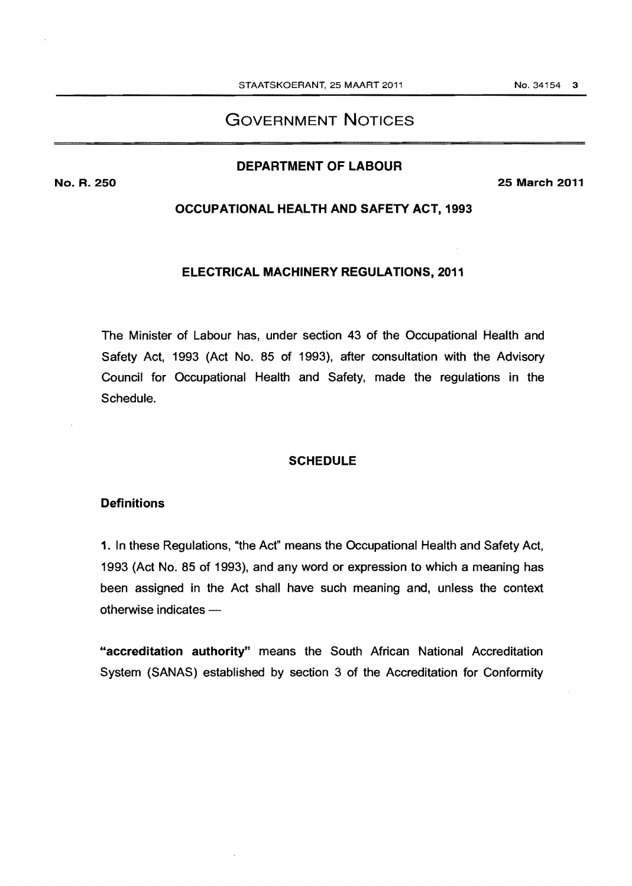# GOVERNMENT NOTICES

## DEPARTMENT OF LABOUR

No. R. 250 25 March 2011

#### OCCUPATIONAL HEALTH AND SAFETY ACT, 1993

#### ELECTRICAL MACHINERY REGULATIONS, 2011

The Minister of Labour has, under section 43 of the Occupational Health and Safety Act, 1993 (Act No. 85 of 1993), after consultation with the Advisory Council for Occupational Health and Safety, made the regulations in the Schedule.

#### **SCHEDULE**

#### **Definitions**

1. In these Regulations, "the Act" means the Occupational Health and Safety Act, 1993 (Act No. 85 of 1993), and any word or expression to which a meaning has been assigned in the Act shall have such meaning and, unless the context  $otherwise$  indicates  $-$ 

"accreditation authority" means the South African National Accreditation System (SANAS) established by section 3 of the Accreditation for Conformity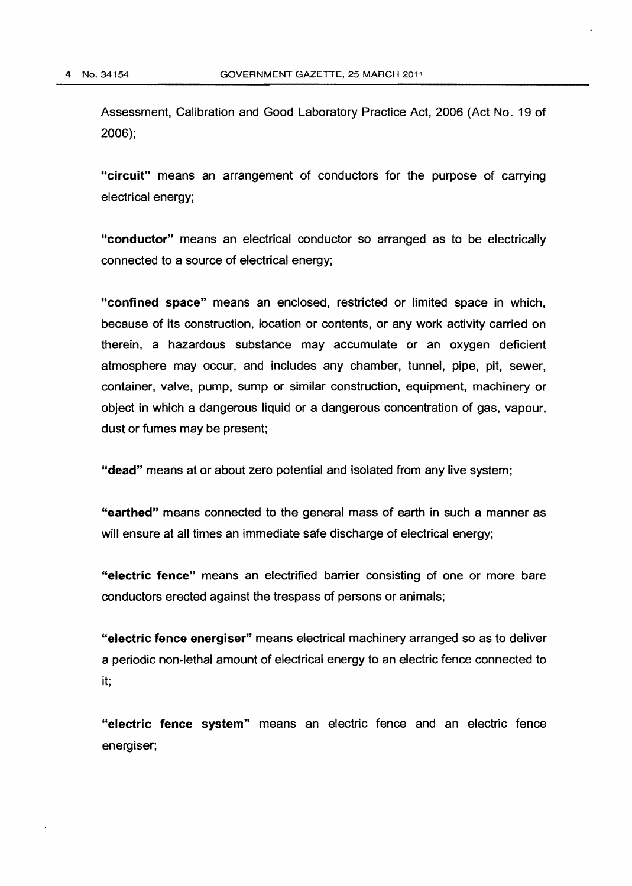Assessment, Calibration and Good Laboratory Practice Act, 2006 (Act No. 19 of 2006);

"circuit" means an arrangement of conductors for the purpose of carrying electrical energy;

"conductor" means an electrical conductor so arranged as to be electrically connected to a source of electrical energy;

"confined space" means an enclosed, restricted or limited space in which, because of its construction, location or contents, or any work activity carried on therein, a hazardous substance may accumulate or an oxygen deficient atmosphere may occur, and includes any chamber, tunnel, pipe, pit, sewer, container, valve, pump, sump or similar construction, equipment, machinery or object in which a dangerous liquid or a dangerous concentration of gas, vapour, dust or fumes may be present;

"dead" means at or about zero potential and isolated from any live system;

"earthed" means connected to the general mass of earth in such a manner as will ensure at all times an immediate safe discharge of electrical energy;

"electric fence" means an electrified barrier consisting of one or more bare conductors erected against the trespass of persons or animals;

"electric fence energiser" means electrical machinery arranged so as to deliver a periodic non-lethal amount of electrical energy to an electric fence connected to it;

"electric fence system" means an electric fence and an electric fence energiser;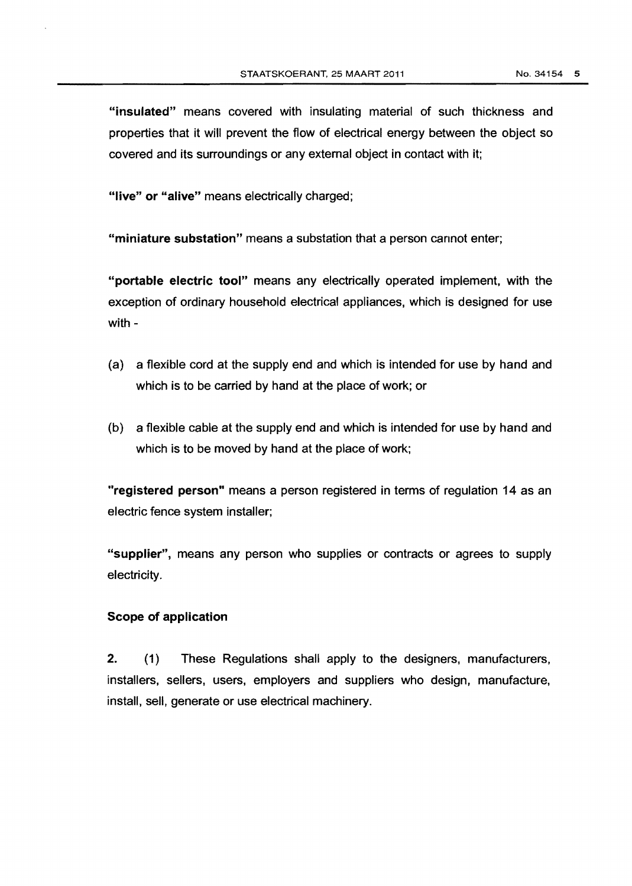"insulated" means covered with insulating material of such thickness and properties that it will prevent the flow of electrical energy between the object so covered and its surroundings or any external object in contact with it;

"live" or "alive" means electrically charged;

"miniature substation" means a substation that a person cannot enter;

"portable electric tool" means any electrically operated implement, with the exception of ordinary household electrical appliances, which is designed for use with -

- (a) a flexible cord at the supply end and which is intended for use by hand and which is to be carried by hand at the place of work; or
- (b) a flexible cable at the supply end and which is intended for use by hand and which is to be moved by hand at the place of work;

"registered person" means a person registered in terms of regulation 14 as an electric fence system installer;

"supplier", means any person who supplies or contracts or agrees to supply electricity.

#### Scope of application

2. (1) These Regulations shall apply to the designers, manufacturers, installers, sellers, users, employers and suppliers who design, manufacture, install, sell, generate or use electrical machinery.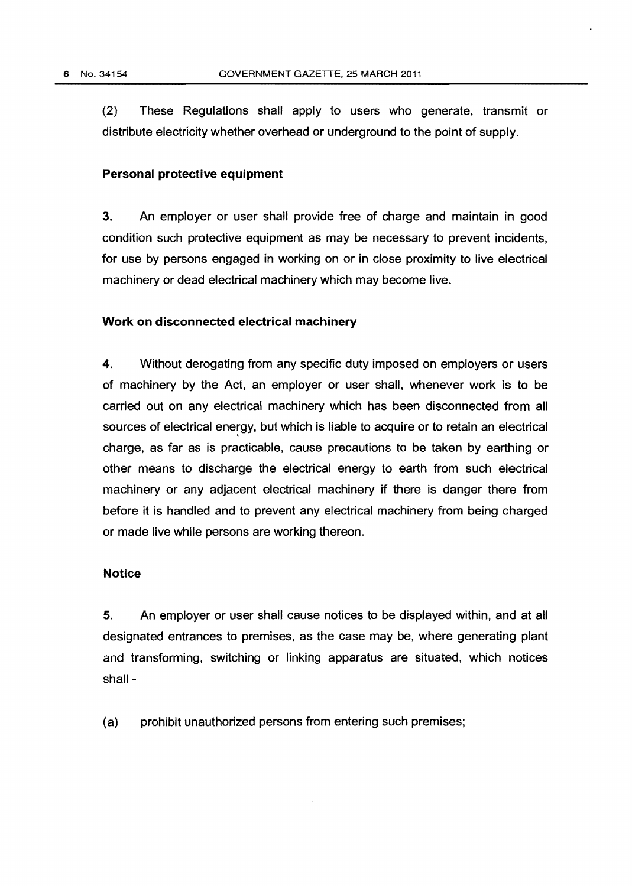(2) These Regulations shall apply to users who generate, transmit or distribute electricity whether overhead or underground to the point of supply.

#### Personal protective equipment

3. An employer or user shall provide free of charge and maintain in good condition such protective equipment as may be necessary to prevent incidents, for use by persons engaged in working on or in close proximity to live electrical machinery or dead electrical machinery which may become live.

#### Work on disconnected electrical machinery

4. Without derogating from any specific duty imposed on employers or users of machinery by the Act, an employer or user shall, whenever work is to be carried out on any electrical machinery which has been disconnected from all sources of electrical energy, but which is liable to acquire or to retain an electrical charge, as far as is practicable, cause precautions to be taken by earthing or other means to discharge the electrical energy to earth from such electrical machinery or any adjacent electrical machinery if there is danger there from before it is handled and to prevent any electrical machinery from being charged or made live while persons are working thereon.

#### Notice

5. An employer or user shall cause notices to be displayed within, and at all designated entrances to premises, as the case may be, where generating plant and transforming, switching or linking apparatus are situated, which notices shall-

(a) prohibit unauthorized persons from entering such premises;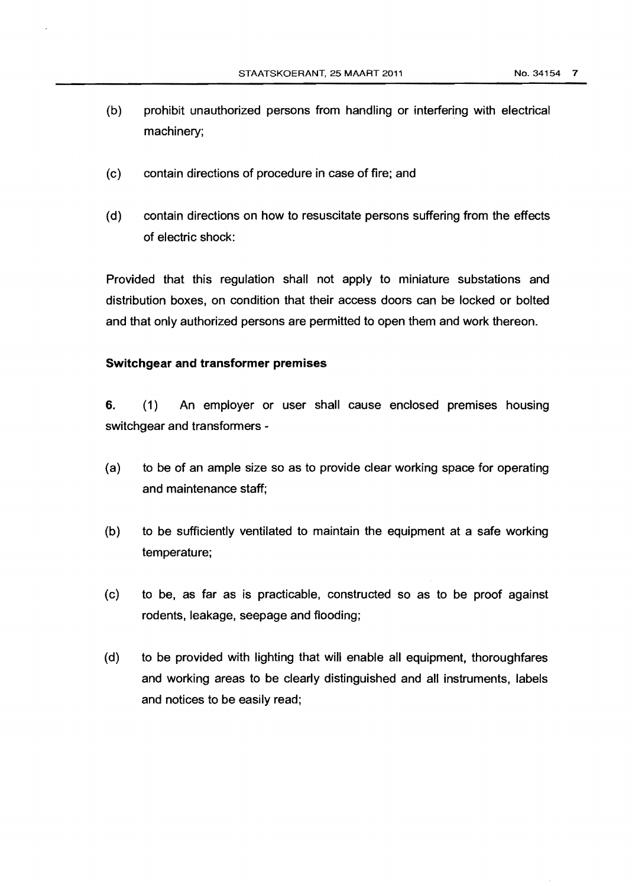- (b) prohibit unauthorized persons from handling or interfering with electrical machinery;
- (c) contain directions of procedure in case of fire; and
- (d) contain directions on how to resuscitate persons suffering from the effects of electric shock:

Provided that this regulation shall not apply to miniature substations and distribution boxes, on condition that their access doors can be locked or bolted and that only authorized persons are permitted to open them and work thereon.

### **Switchgear and transformer premises**

**6.** ( 1) An employer or user shall cause enclosed premises housing switchgear and transformers-

- (a) to be of an ample size so as to provide clear working space for operating and maintenance staff;
- (b) to be sufficiently ventilated to maintain the equipment at a safe working temperature;
- (c) to be, as far as is practicable, constructed so as to be proof against rodents, leakage, seepage and flooding;
- (d) to be provided with lighting that will enable all equipment, thoroughfares and working areas to be clearly distinguished and all instruments, labels and notices to be easily read;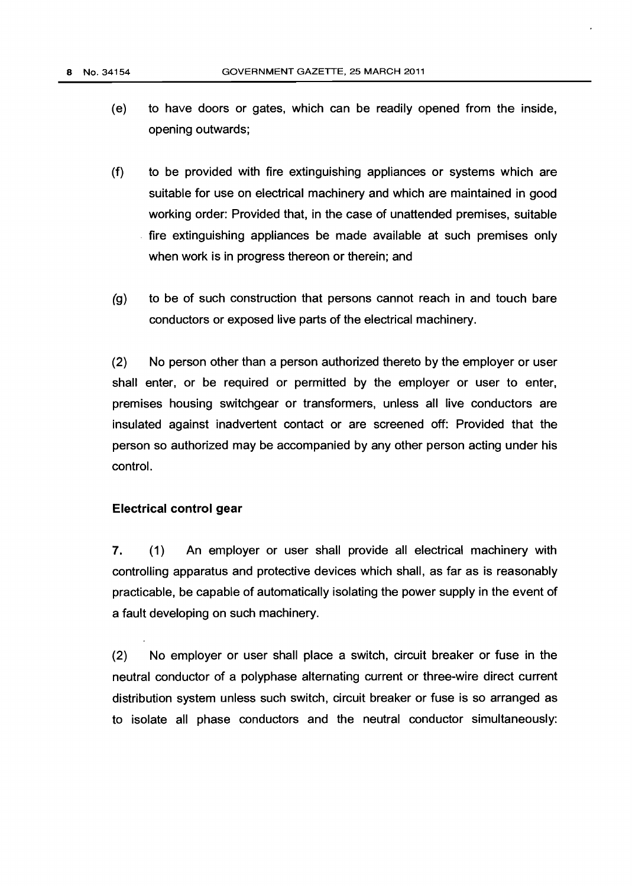- (e) to have doors or gates, which can be readily opened from the inside, opening outwards;
- (f) to be provided with fire extinguishing appliances or systems which are suitable for use on electrical machinery and which are maintained in good working order: Provided that, in the case of unattended premises, suitable . fire extinguishing appliances be made available at such premises only when work is in progress thereon or therein; and
- (g) to be of such construction that persons cannot reach in and touch bare conductors or exposed live parts of the electrical machinery.

(2) No person other than a person authorized thereto by the employer or user shall enter, or be required or permitted by the employer or user to enter, premises housing switchgear or transformers, unless all live conductors are insulated against inadvertent contact or are screened off: Provided that the person so authorized may be accompanied by any other person acting under his control.

### **Electrical control gear**

7. (1) An employer or user shall provide all electrical machinery with controlling apparatus and protective devices which shall, as far as is reasonably practicable, be capable of automatically isolating the power supply in the event of a fault developing on such machinery.

(2) No employer or user shall place a switch, circuit breaker or fuse in the neutral conductor of a polyphase alternating current or three-wire direct current distribution system unless such switch, circuit breaker or fuse is so arranged as to isolate all phase conductors and the neutral conductor simultaneously: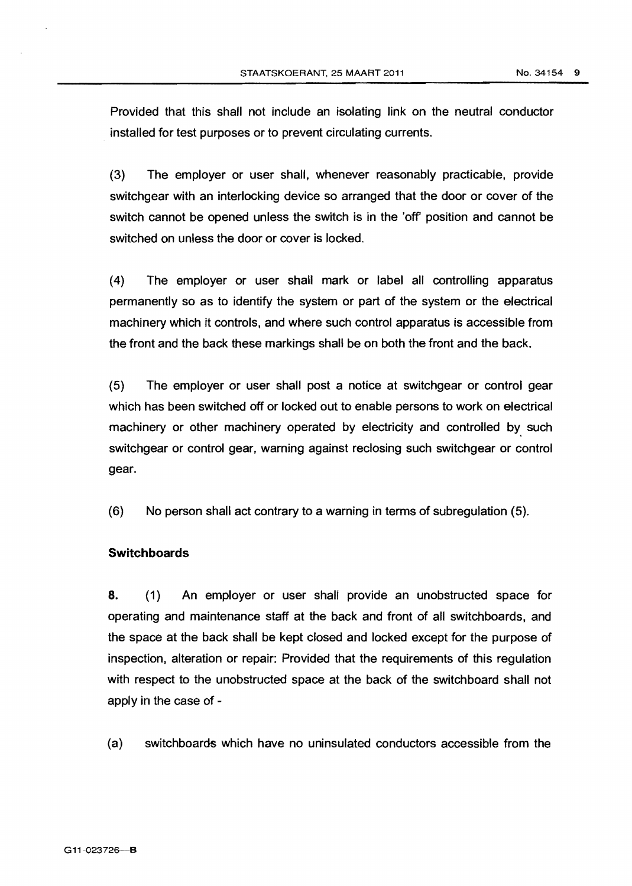Provided that this shall not include an isolating link on the neutral conductor installed for test purposes or to prevent circulating currents.

(3) The employer or user shall, whenever reasonably practicable, provide switchgear with an interlocking device so arranged that the door or cover of the switch cannot be opened unless the switch is in the 'off position and cannot be switched on unless the door or cover is locked.

( 4) The employer or user shall mark or label all controlling apparatus permanently so as to identify the system or part of the system or the electrical machinery which it controls, and where such control apparatus is accessible from the front and the back these markings shall be on both the front and the back.

(5) The employer or user shall post a notice at switchgear or control gear which has been switched off or locked out to enable persons to work on electrical machinery or other machinery operated by electricity and controlled by such switchgear or control gear, warning against reclosing such switchgear or control gear.

(6) No person shall act contrary to a warning in terms of subregulation (5).

# **Switchboards**

**8.** ( 1) An employer or user shall provide an unobstructed space for operating and maintenance staff at the back and front of all switchboards, and the space at the back shall be kept closed and locked except for the purpose of inspection, alteration or repair: Provided that the requirements of this regulation with respect to the unobstructed space at the back of the switchboard shall not apply in the case of -

(a) switchboards which have no uninsulated conductors accessible from the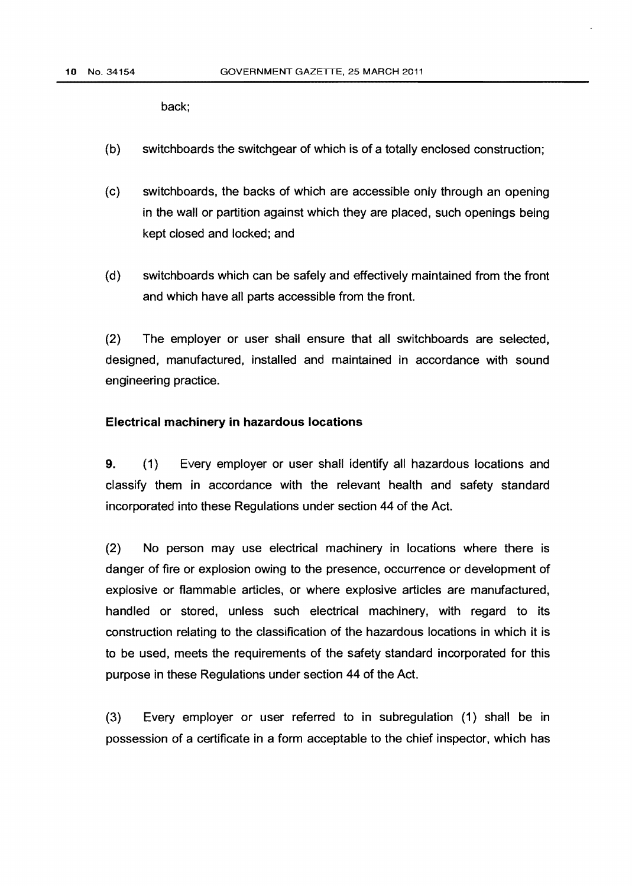back;

- (b) switchboards the switchgear of which is of a totally enclosed construction;
- (c) switchboards, the backs of which are accessible only through an opening in the wall or partition against which they are placed, such openings being kept closed and locked; and
- (d) switchboards which can be safely and effectively maintained from the front and which have all parts accessible from the front.

(2) The employer or user shall ensure that all switchboards are selected, designed, manufactured, installed and maintained in accordance with sound engineering practice.

# Electrical machinery in hazardous locations

9. (1} Every employer or user shall identify all hazardous locations and classify them in accordance with the relevant health and safety standard incorporated into these Regulations under section 44 of the Act.

(2) No person may use electrical machinery in locations where there is danger of fire or explosion owing to the presence, occurrence or development of explosive or flammable articles, or where explosive articles are manufactured, handled or stored, unless such electrical machinery, with regard to its construction relating to the classification of the hazardous locations in which it is to be used, meets the requirements of the safety standard incorporated for this purpose in these Regulations under section 44 of the Act.

(3) Every employer or user referred to in subregulation (1) shall be in possession of a certificate in a form acceptable to the chief inspector, which has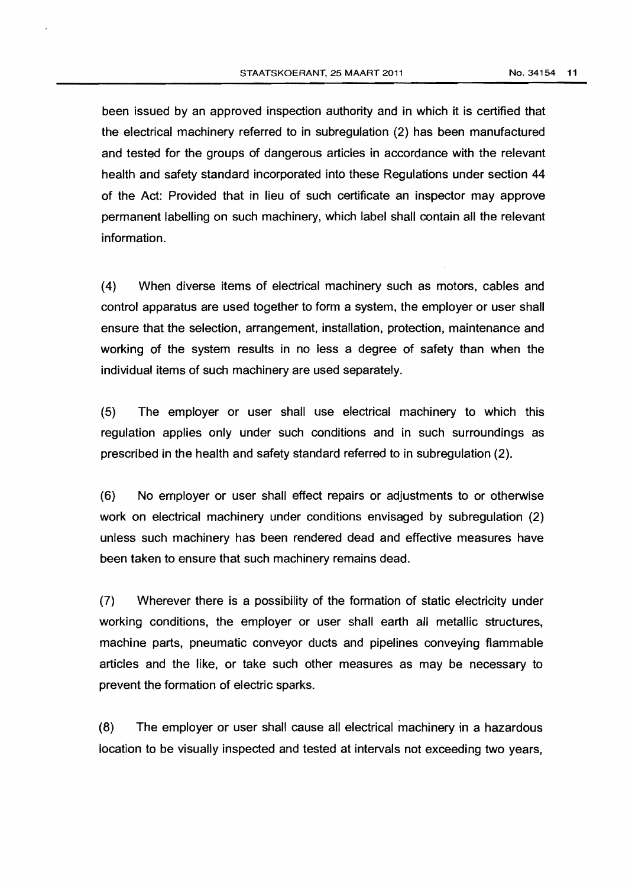been issued by an approved inspection authority and in which it is certified that the electrical machinery referred to in subregulation (2) has been manufactured and tested for the groups of dangerous articles in accordance with the relevant health and safety standard incorporated into these Regulations under section 44 of the Act: Provided that in lieu of such certificate an inspector may approve permanent labelling on such machinery, which label shall contain all the relevant information.

( 4) When diverse items of electrical machinery such as motors, cables and control apparatus are used together to form a system, the employer or user shall ensure that the selection, arrangement, installation, protection, maintenance and working of the system results in no less a degree of safety than when the individual items of such machinery are used separately.

(5) The employer or user shall use electrical machinery to which this regulation applies only under such conditions and in such surroundings as prescribed in the health and safety standard referred to in subregulation (2).

(6) No employer or user shall effect repairs or adjustments to or otherwise work on electrical machinery under conditions envisaged by subregulation (2) unless such machinery has been rendered dead and effective measures have been taken to ensure that such machinery remains dead.

(7) Wherever there is a possibility of the formation of static electricity under working conditions, the employer or user shall earth all metallic structures, machine parts, pneumatic conveyor ducts and pipelines conveying flammable articles and the like, or take such other measures as may be necessary to prevent the formation of electric sparks.

(8) The employer or user shall cause all electrical machinery in a hazardous location to be visually inspected and tested at intervals not exceeding two years,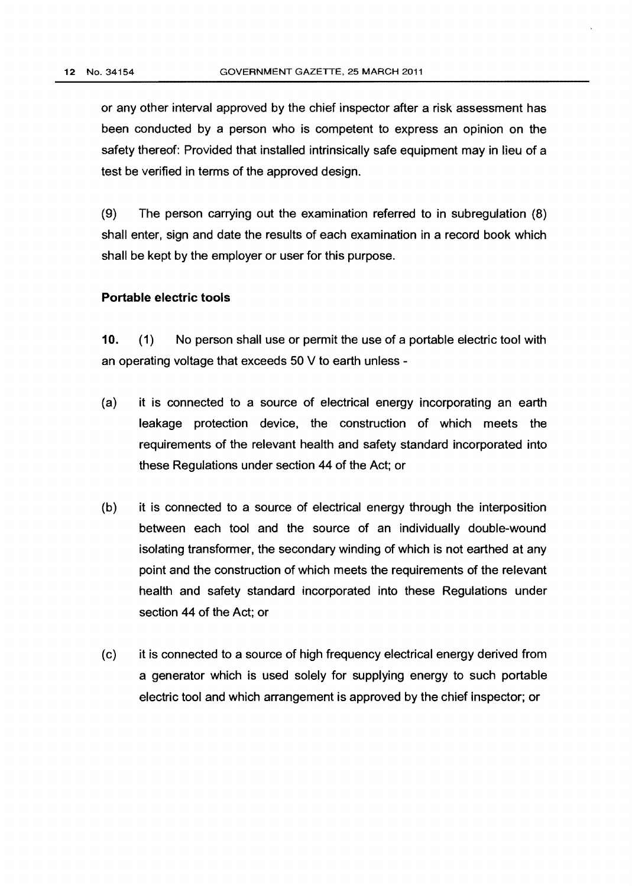or any other interval approved by the chief inspector after a risk assessment has been conducted by a person who is competent to express an opinion on the safety thereof: Provided that installed intrinsically safe equipment may in lieu of a test be verified in terms of the approved design.

(9) The person carrying out the examination referred to in subregulation (8) shall enter, sign and date the results of each examination in a record book which shall be kept by the employer or user for this purpose.

### **Portable electric tools**

**10.** (1) No person shall use or permit the use of a portable electric tool with an operating voltage that exceeds 50 V to earth unless-

- (a) it is connected to a source of electrical energy incorporating an earth leakage protection device, the construction of which meets the requirements of the relevant health and safety standard incorporated into these Regulations under section 44 of the Act; or
- (b) it is connected to a source of electrical energy through the interposition between each tool and the source of an individually double-wound isolating transformer, the secondary winding of which is not earthed at any point and the construction of which meets the requirements of the relevant health and safety standard incorporated into these Regulations under section 44 of the Act; or
- (c) it is connected to a source of high frequency electrical energy derived from a generator which is used solely for supplying energy to such portable electric tool and which arrangement is approved by the chief inspector; or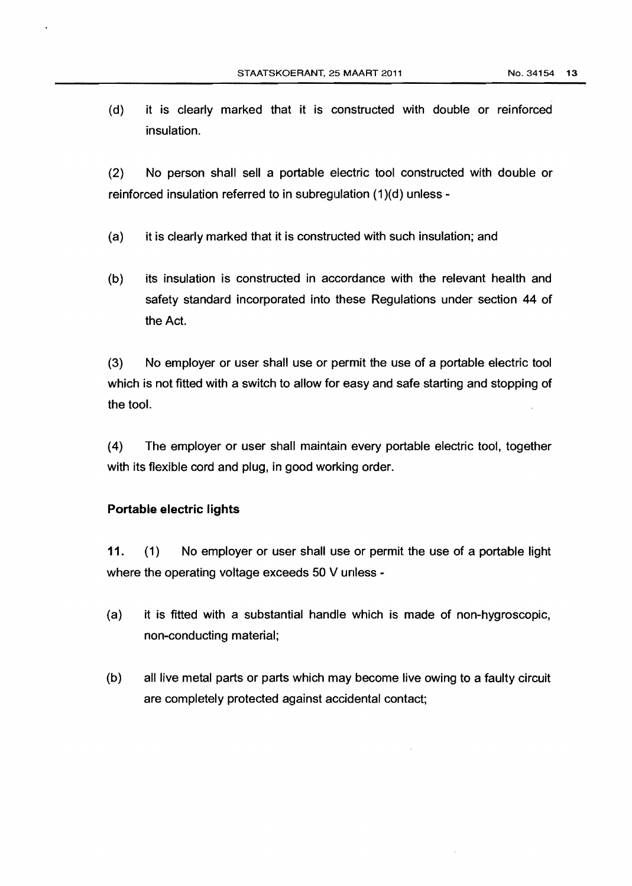(d) it is clearly marked that it is constructed with double or reinforced insulation.

(2} No person shall sell a portable electric tool constructed with double or reinforced insulation referred to in subregulation (1)(d) unless -

- (a} it is clearly marked that it is constructed with such insulation; and
- {b} its insulation is constructed in accordance with the relevant health and safety standard incorporated into these Regulations under section 44 of the Act.

(3) No employer or user shall use or permit the use of a portable electric tool which is not fitted with a switch to allow for easy and safe starting and stopping of the tool.

(4} The employer or user shall maintain every portable electric tool, together with its flexible cord and plug, in good working order.

## **Portable electric lights**

**11.** (1) No employer or user shall use or permit the use of a portable light where the operating voltage exceeds 50 V unless -

- {a) it is fitted with a substantial handle which is made of non-hygroscopic, non-conducting material;
- {b} all live metal parts or parts which may become live owing to a faulty circuit are completely protected against accidental contact;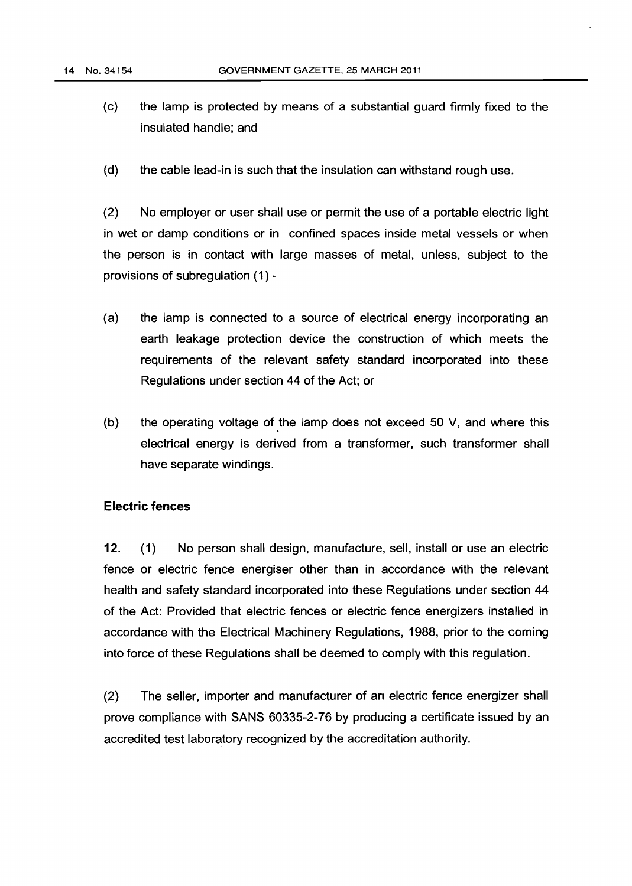- (c) the lamp is protected by means of a substantial guard firmly fixed to the insulated handle; and
- (d) the cable lead-in is such that the insulation can withstand rough use.

(2) No employer or user shall use or permit the use of a portable electric light in wet or damp conditions or in confined spaces inside metal vessels or when the person is in contact with large masses of metal, unless, subject to the provisions of subregulation (1)-

- (a) the lamp is connected to a source of electrical energy incorporating an earth leakage protection device the construction of which meets the requirements of the relevant safety standard incorporated into these Regulations under section 44 of the Act; or
- (b) the operating voltage of the lamp does not exceed 50 V, and where this electrical energy is derived from a transformer, such transformer shall have separate windings.

## **Electric fences**

**12.** (1) No person shall design, manufacture, sell, install or use an electric fence or electric fence energiser other than in accordance with the relevant health and safety standard incorporated into these Regulations under section 44 of the Act: Provided that electric fences or electric fence energizers installed in accordance with the Electrical Machinery Regulations, 1988, prior to the coming into force of these Regulations shall be deemed to comply with this regulation.

(2) The seller, importer and manufacturer of an electric fence energizer shall prove compliance with SANS 60335-2-76 by producing a certificate issued by an accredited test laboratory recognized by the accreditation authority.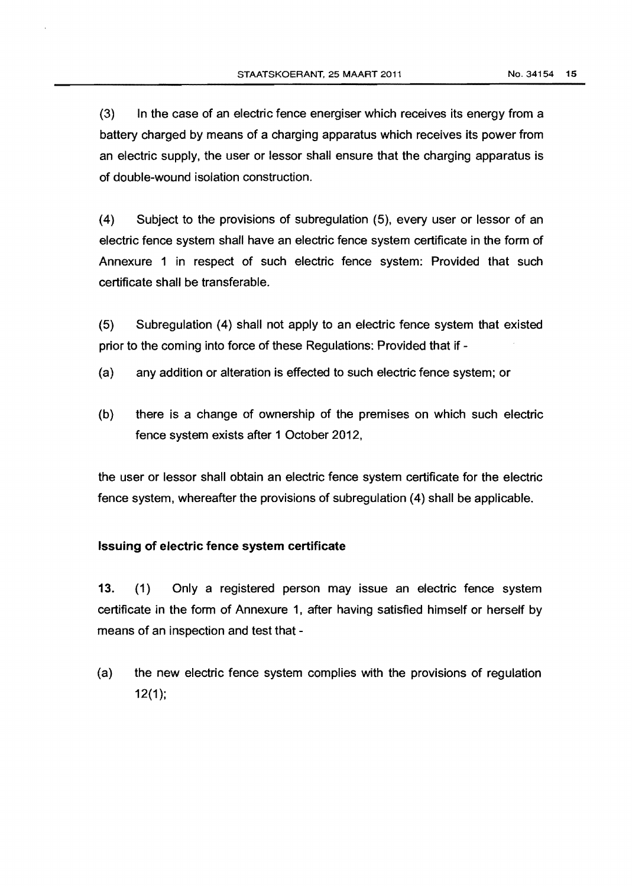(3) In the case of an electric fence energiser which receives its energy from a battery charged by means of a charging apparatus which receives its power from an electric supply, the user or lessor shall ensure that the charging apparatus is of double-wound isolation construction.

(4) Subject to the provisions of subregulation (5), every user or lessor of an electric fence system shall have an electric fence system certificate in the form of Annexure 1 in respect of such electric fence system: Provided that such certificate shall be transferable.

(5) Subregulation (4) shall not apply to an electric fence system that existed prior to the coming into force of these Regulations: Provided that if-

- {a) any addition or alteration is effected to such electric fence system; or
- (b) there is a change of ownership of the premises on which such electric fence system exists after 1 October 2012,

the user or lessor shall obtain an electric fence system certificate for the electric fence system, whereafter the provisions of subregulation {4) shall be applicable.

# Issuing of electric fence system certificate

13. {1) Only a registered person may issue an electric fence system certificate in the form of Annexure 1, after having satisfied himself or herself by means of an inspection and test that-

{a) the new electric fence system complies with the provisions of regulation 12(1);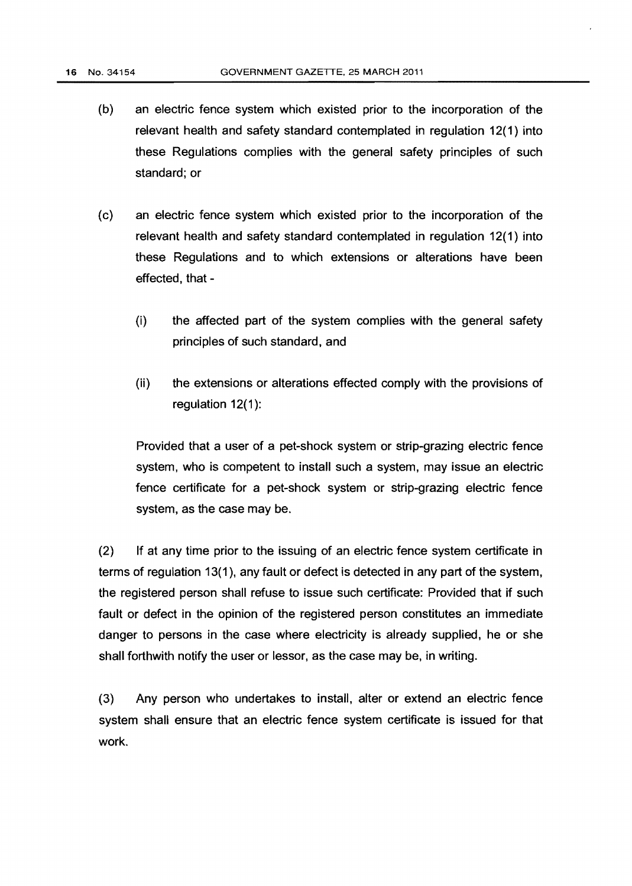- (b) an electric fence system which existed prior to the incorporation of the relevant health and safety standard contemplated in regulation 12(1) into these Regulations complies with the general safety principles of such standard; or
- (c) an electric fence system which existed prior to the incorporation of the relevant health and safety standard contemplated in regulation 12(1) into these Regulations and to which extensions or alterations have been effected, that-
	- (i} the affected part of the system complies with the general safety principles of such standard, and
	- (ii) the extensions or alterations effected comply with the provisions of regulation  $12(1)$ :

Provided that a user of a pet-shock system or strip-grazing electric fence system, who is competent to install such a system, may issue an electric fence certificate for a pet-shock system or strip-grazing electric fence system, as the case may be.

{2) If at any time prior to the issuing of an electric fence system certificate in terms of regulation 13(1), any fault or defect is detected in any part of the system, the registered person shall refuse to issue such certificate: Provided that if such fault or defect in the opinion of the registered person constitutes an immediate danger to persons in the case where electricity is already supplied, he or she shall forthwith notify the user or lessor, as the case may be, in writing.

(3) Any person who undertakes to install, alter or extend an electric fence system shall ensure that an electric fence system certificate is issued for that work.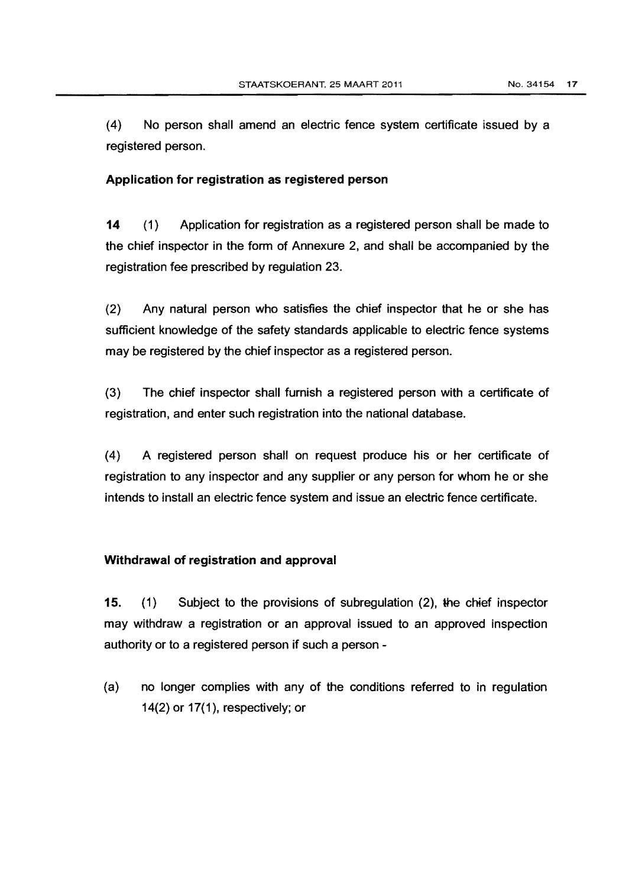(4) No person shall amend an electric fence system certificate issued by a registered person.

# Application for registration as registered person

14 (1) Application for registration as a registered person shall be made to the chief inspector in the form of Annexure 2, and shall be accompanied by the registration fee prescribed by regulation 23.

(2) Any natural person who satisfies the chief inspector that he or she has sufficient knowledge of the safety standards applicable to electric fence systems may be registered by the chief inspector as a registered person.

(3) The chief inspector shall furnish a registered person with a certificate of registration, and enter such registration into the national database.

(4) A registered person shall on request produce his or her certificate of registration to any inspector and any supplier or any person for whom he or she intends to install an electric fence system and issue an electric fence certificate.

# Withdrawal of registration and approval

15. (1) Subject to the provisions of subregulation (2), the chief inspector may withdraw a registration or an approval issued to an approved inspection authority or to a registered person if such a person -

(a) no longer complies with any of the conditions referred to in regulation 14(2) or 17(1), respectively; or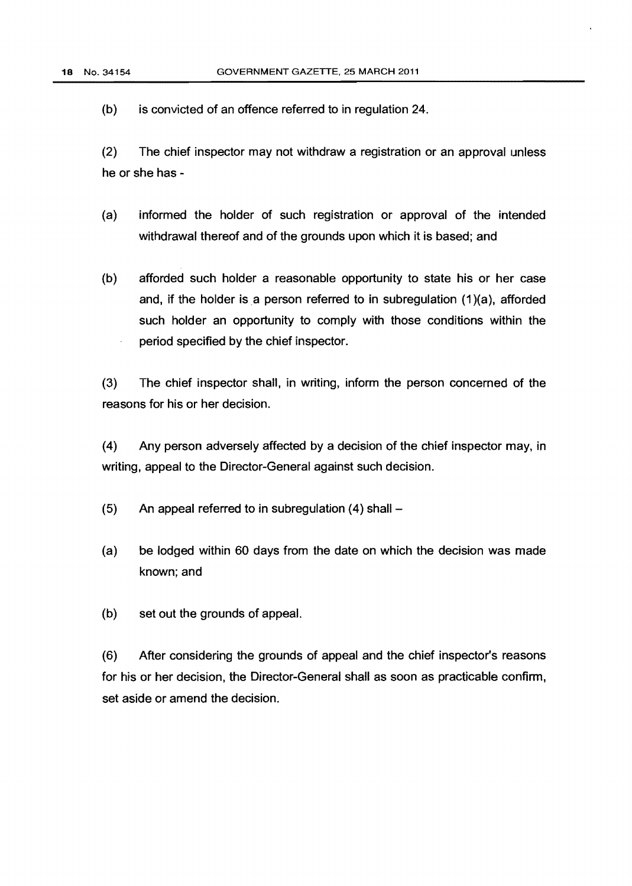(b) is convicted of an offence referred to in regulation 24.

(2) The chief inspector may not withdraw a registration or an approval unless he or she has -

- (a) informed the holder of such registration or approval of the intended withdrawal thereof and of the grounds upon which it is based; and
- (b) afforded such holder a reasonable opportunity to state his or her case and, if the holder is a person referred to in subregulation  $(1)(a)$ , afforded such holder an opportunity to comply with those conditions within the period specified by the chief inspector.

(3) The chief inspector shall, in writing, inform the person concerned of the reasons for his or her decision.

(4) Any person adversely affected by a decision of the chief inspector may, in writing, appeal to the Director-General against such decision.

- $(5)$  An appeal referred to in subregulation  $(4)$  shall  $-$
- (a) be lodged within 60 days from the date on which the decision was made known; and
- (b) set out the grounds of appeal.

(6) After considering the grounds of appeal and the chief inspector's reasons for his or her decision, the Director-General shall as soon as practicable confirm, set aside or amend the decision.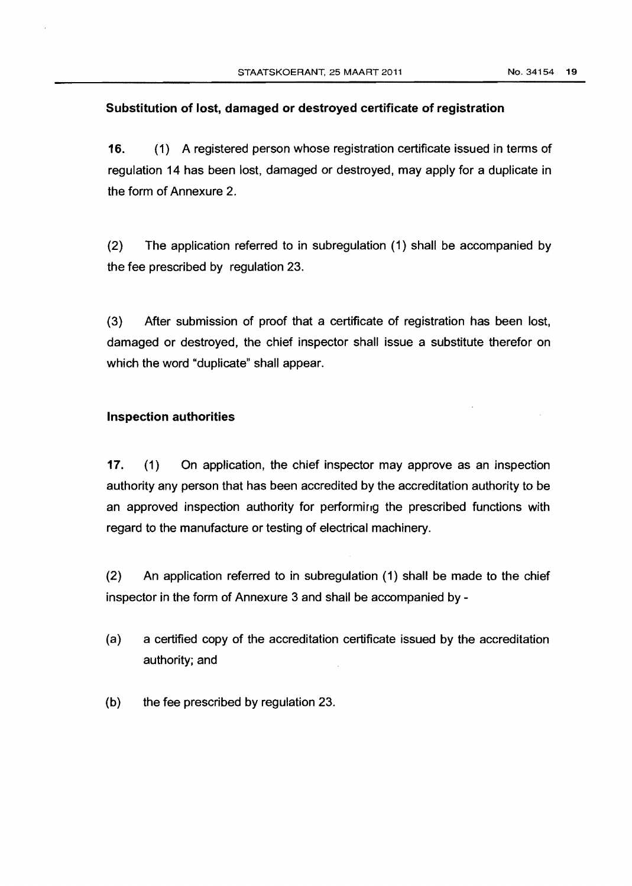## Substitution of lost, damaged or destroyed certificate of registration

16. (1) A registered person whose registration certificate issued in terms of regulation 14 has been lost, damaged or destroyed, may apply for a duplicate in the form of Annexure 2.

(2) The application referred to in subregulation (1) shall be accompanied by the fee prescribed by regulation 23.

(3) After submission of proof that a certificate of registration has been lost, damaged or destroyed, the chief inspector shall issue a substitute therefor on which the word "duplicate" shall appear.

### Inspection authorities

17. (1) On application, the chief inspector may approve as an inspection authority any person that has been accredited by the accreditation authority to be an approved inspection authority for performing the prescribed functions with regard to the manufacture or testing of electrical machinery.

(2} An application referred to in subregulation ( 1) shall be made to the chief inspector in the form of Annexure 3 and shall be accompanied by -

- (a) a certified copy of the accreditation certificate issued by the accreditation authority; and
- (b) the fee prescribed by regulation 23.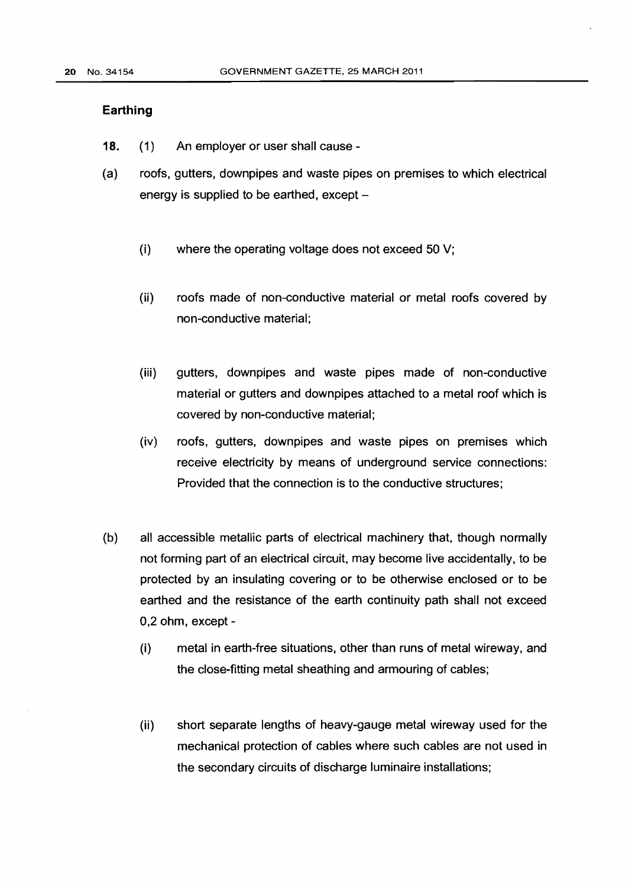#### **Earthing**

- 18. (1) An employer or user shall cause -
- (a) roofs, gutters, downpipes and waste pipes on premises to which electrical energy is supplied to be earthed,  $except -$ 
	- (i) where the operating voltage does not exceed 50 V;
	- (ii) roofs made of non-conductive material or metal roofs covered by non-conductive material;
	- (iii) gutters, downpipes and waste pipes made of non-conductive material or gutters and downpipes attached to a metal roof which is covered by non-conductive material;
	- (iv) roofs, gutters, downpipes and waste pipes on premises which receive electricity by means of underground service connections: Provided that the connection is to the conductive structures;
- (b) all accessible metallic parts of electrical machinery that, though normally not forming part of an electrical circuit, may become live accidentally, to be protected by an insulating covering or to be otherwise enclosed or to be earthed and the resistance of the earth continuity path shall not exceed 0,2 ohm, except-
	- (i) metal in earth-free situations, other than runs of metal wireway, and the close-fitting metal sheathing and armouring of cables;
	- (ii) short separate lengths of heavy-gauge metal wireway used for the mechanical protection of cables where such cables are not used in the secondary circuits of discharge luminaire installations;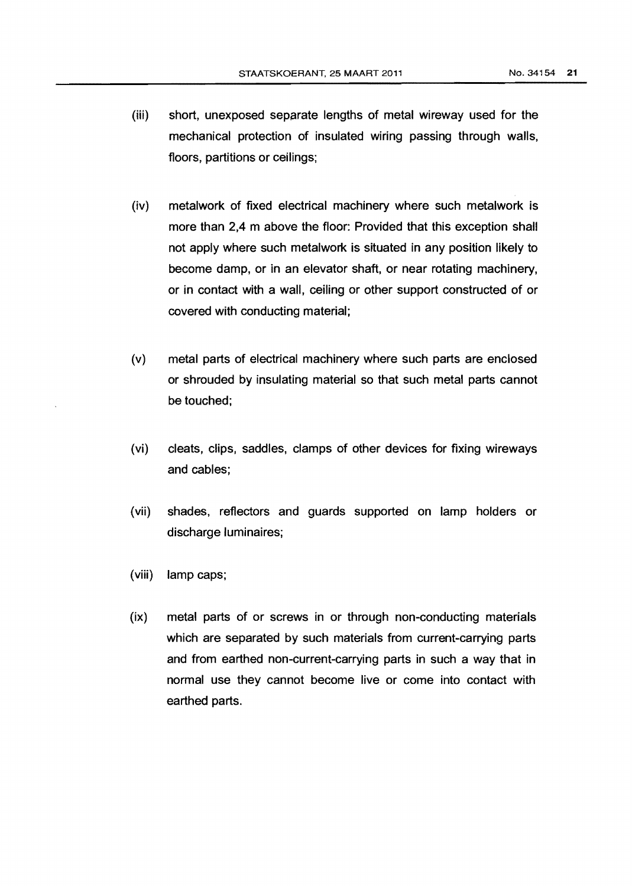- (iii) short, unexposed separate lengths of metal wireway used for the mechanical protection of insulated wiring passing through walls, floors, partitions or ceilings;
- (iv) metalwork of fixed electrical machinery where such metalwork is more than 2.4 m above the floor: Provided that this exception shall not apply where such metalwork is situated in any position likely to become damp, or in an elevator shaft, or near rotating machinery, or in contact with a wall, ceiling or other support constructed of or covered with conducting material;
- (v) metal parts of electrical machinery where such parts are enclosed or shrouded by insulating material so that such metal parts cannot be touched;
- (vi) cleats, clips, saddles, clamps of other devices for fixing wireways and cables;
- (vii) shades, reflectors and guards supported on lamp holders or discharge luminaires;
- (viii) lamp caps;
- (ix) metal parts of or screws in or through non-conducting materials which are separated by such materials from current-carrying parts and from earthed non-current-carrying parts in such a way that in normal use they cannot become live or come into contact with earthed parts.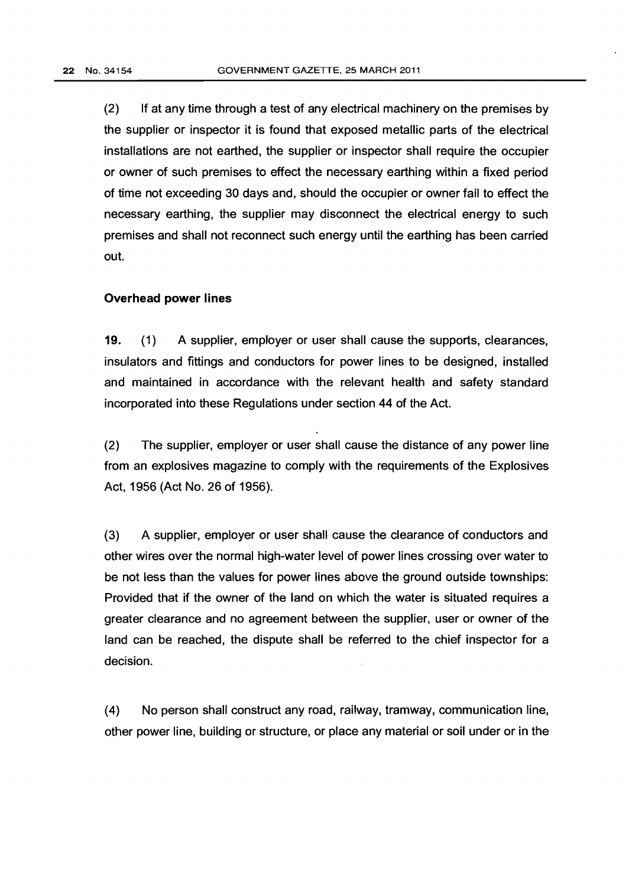(2) If at any time through a test of any electrical machinery on the premises by the supplier or inspector it is found that exposed metallic parts of the electrical installations are not earthed, the supplier or inspector shall require the occupier or owner of such premises to effect the necessary earthing within a fixed period of time not exceeding 30 days and, should the occupier or owner fail to effect the necessary earthing, the supplier may disconnect the electrical energy to such premises and shall not reconnect such energy until the earthing has been carried out.

#### **Overhead power lines**

**19.** (1) A supplier, employer or user shall cause the supports, clearances, insulators and fittings and conductors for power lines to be designed, installed and maintained in accordance with the relevant health and safety standard incorporated into these Regulations under section 44 of the Act.

(2) The supplier, employer or user shall cause the distance of any power line from an explosives magazine to comply with the requirements of the Explosives Act, 1956 (Act No. 26 of 1956).

(3) A supplier, employer or user shall cause the clearance of conductors and other wires over the normal high-water level of power lines crossing over water to be not less than the values for power lines above the ground outside townships: Provided that if the owner of the land on which the water is situated requires a greater clearance and no agreement between the supplier, user or owner of the land can be reached, the dispute shall be referred to the chief inspector for a decision.

(4) No person shall construct any road, railway, tramway, communication line, other power line, building or structure, or place any material or soil under or in the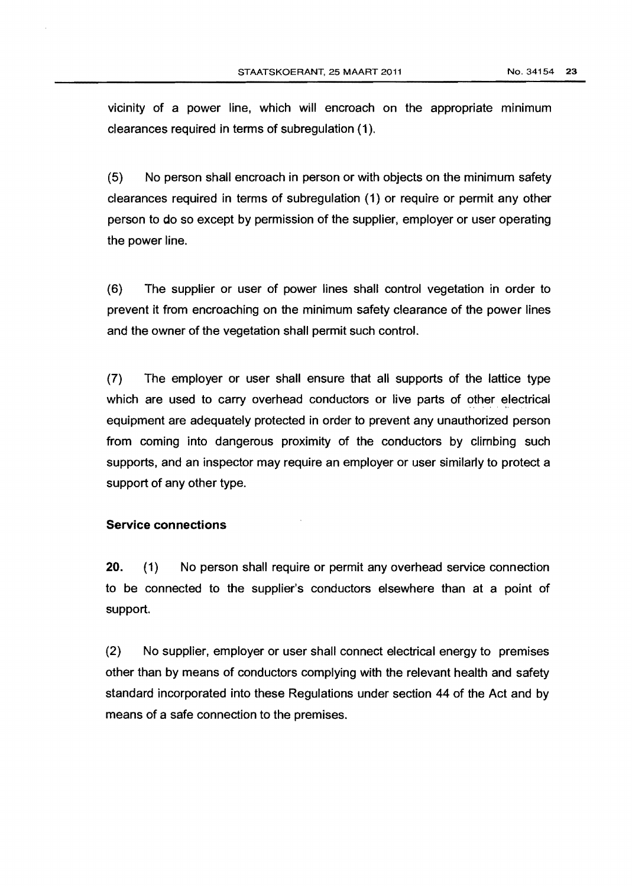vicinity of a power line, which will encroach on the appropriate minimum clearances required in terms of subregulation (1).

(5) No person shall encroach in person or with objects on the minimum safety clearances required in terms of subregulation (1) or require or permit any other person to do so except by permission of the supplier, employer or user operating the power line.

(6) The supplier or user of power lines shall control vegetation in order to prevent it from encroaching on the minimum safety clearance of the power lines and the owner of the vegetation shall permit such control.

(7) The employer or user shall ensure that all supports of the lattice type which are used to carry overhead conductors or live parts of other electrical equipment are adequately protected in order to prevent any unauthorized person from coming into dangerous proximity of the conductors by climbing such supports, and an inspector may require an employer or user similarly to protect a support of any other type.

#### Service connections

20. (1) No person shall require or permit any overhead service connection to be connected to the supplier's conductors elsewhere than at a point of support.

(2) No supplier, employer or user shall connect electrical energy to premises other than by means of conductors complying with the relevant health and safety standard incorporated into these Regulations under section 44 of the Act and by means of a safe connection to the premises.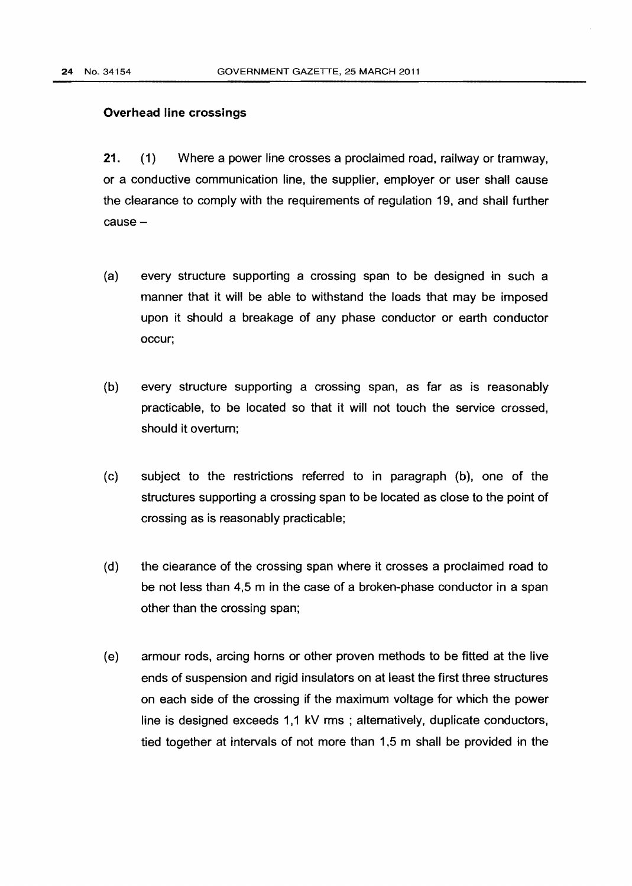#### Overhead line crossings

21. (1) Where a power line crosses a proclaimed road, railway or tramway, or a conductive communication line, the supplier, employer or user shall cause the clearance to comply with the requirements of regulation 19, and shall further cause-

- (a) every structure supporting a crossing span to be designed in such a manner that it will be able to withstand the loads that may be imposed upon it should a breakage of any phase conductor or earth conductor occur;
- (b) every structure supporting a crossing span, as far as is reasonably practicable, to be located so that it will not touch the service crossed, should it overturn;
- (c) subject to the restrictions referred to in paragraph (b), one of the structures supporting a crossing span to be located as close to the point of crossing as is reasonably practicable;
- (d) the clearance of the crossing span where it crosses a proclaimed road to be not less than 4,5 m in the case of a broken-phase conductor in a span other than the crossing span;
- (e) armour rods, arcing horns or other proven methods to be fitted at the live ends of suspension and rigid insulators on at least the first three structures on each side of the crossing if the maximum voltage for which the power line is designed exceeds 1,1 kV rms ; alternatively, duplicate conductors, tied together at intervals of not more than 1 ,5 m shall be provided in the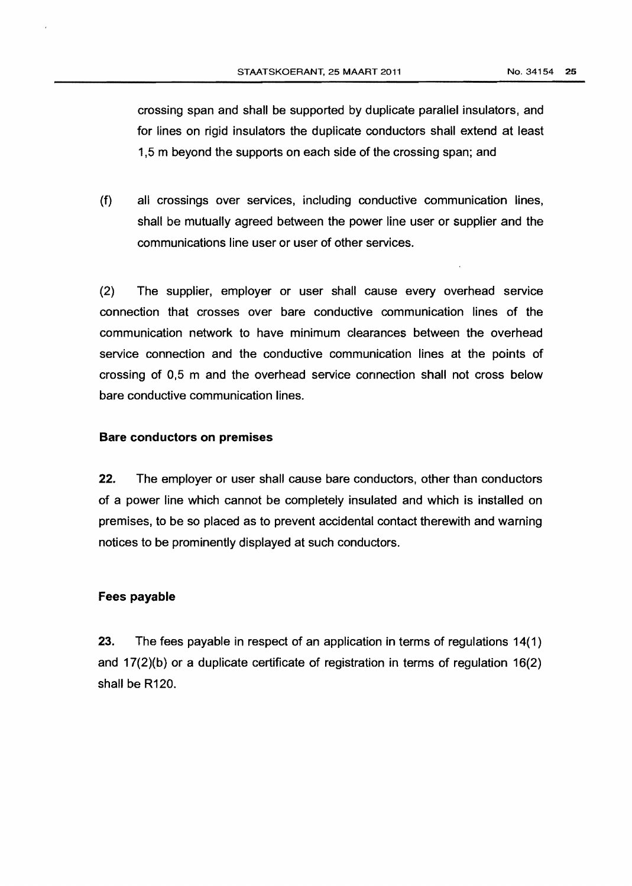crossing span and shall be supported by duplicate parallel insulators, and for lines on rigid insulators the duplicate conductors shall extend at least 1 ,5 m beyond the supports on each side of the crossing span; and

(f) all crossings over services, including conductive communication lines, shall be mutually agreed between the power line user or supplier and the communications line user or user of other services.

(2) The supplier, employer or user shall cause every overhead service connection that crosses over bare conductive communication lines of the communication network to have minimum clearances between the overhead service connection and the conductive communication lines at the points of crossing of 0,5 m and the overhead service connection shall not cross below bare conductive communication lines.

### Bare conductors on premises

22. The employer or user shall cause bare conductors, other than conductors of a power line which cannot be completely insulated and which is installed on premises, to be so placed as to prevent accidental contact therewith and warning notices to be prominently displayed at such conductors.

#### Fees payable

23. The fees payable in respect of an application in terms of regulations 14(1) and 17(2)(b) or a duplicate certificate of registration in terms of regulation 16(2) shall be R120.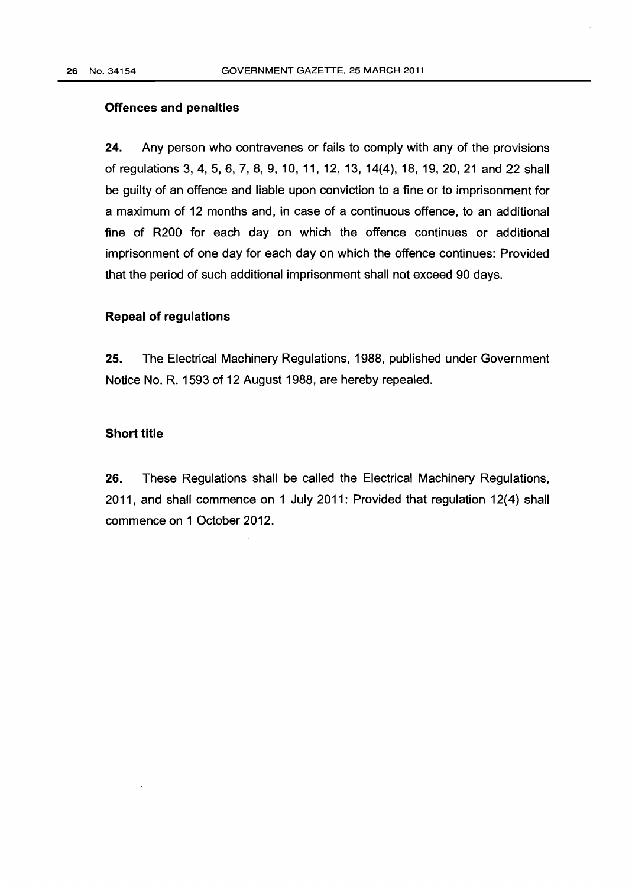### **Offences and penalties**

**24.** Any person who contravenes or fails to comply with any of the provisions of regulations 3, 4, 5, 6, 7, 8, 9, 10, 11, 12, 13, 14(4), 18, 19, 20,21 and 22 shall be guilty of an offence and liable upon conviction to a fine or to imprisonment for a maximum of 12 months and, in case of a continuous offence, to an additional fine of R200 for each day on which the offence continues or additional imprisonment of one day for each day on which the offence continues: Provided that the period of such additional imprisonment shall not exceed 90 days.

#### **Repeal of regulations**

**25.** The Electrical Machinery Regulations, 1988, published under Government Notice No. R. 1593 of 12 August 1988, are hereby repealed.

#### **Short title**

**26.** These Regulations shall be called the Electrical Machinery Regulations, 2011, and shall commence on 1 July 2011: Provided that regulation 12(4) shall commence on 1 October 2012.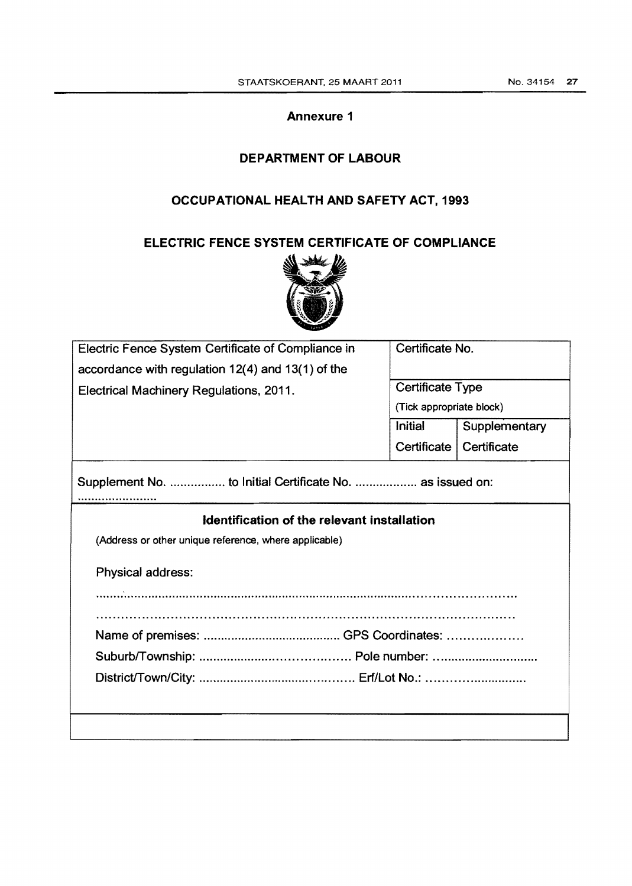# Annexure 1

# DEPARTMENT OF LABOUR

# OCCUPATIONAL HEALTH AND SAFETY ACT, 1993

# ELECTRIC FENCE SYSTEM CERTIFICATE OF COMPLIANCE



| Electric Fence System Certificate of Compliance in        | Certificate No.          |                           |  |  |
|-----------------------------------------------------------|--------------------------|---------------------------|--|--|
| accordance with regulation $12(4)$ and $13(1)$ of the     |                          |                           |  |  |
| Electrical Machinery Regulations, 2011.                   | Certificate Type         |                           |  |  |
|                                                           | (Tick appropriate block) |                           |  |  |
|                                                           | Initial                  | Supplementary             |  |  |
|                                                           |                          | Certificate   Certificate |  |  |
| Supplement No.  to Initial Certificate No.  as issued on: |                          |                           |  |  |
| Identification of the relevant installation               |                          |                           |  |  |
| (Address or other unique reference, where applicable)     |                          |                           |  |  |
| Physical address:                                         |                          |                           |  |  |
|                                                           |                          |                           |  |  |
|                                                           |                          |                           |  |  |
|                                                           |                          |                           |  |  |
|                                                           |                          |                           |  |  |
|                                                           |                          |                           |  |  |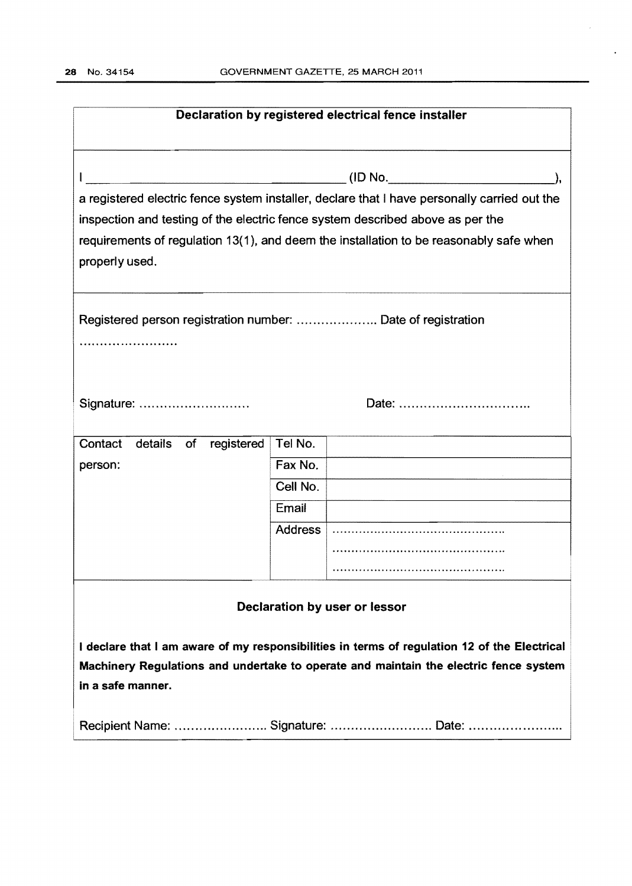$\sim$ 

 $\hat{\mathcal{F}}$ 

| Declaration by registered electrical fence installer                                         |                |                                                                                              |  |  |
|----------------------------------------------------------------------------------------------|----------------|----------------------------------------------------------------------------------------------|--|--|
|                                                                                              |                |                                                                                              |  |  |
|                                                                                              |                | a registered electric fence system installer, declare that I have personally carried out the |  |  |
| inspection and testing of the electric fence system described above as per the               |                |                                                                                              |  |  |
|                                                                                              |                | requirements of regulation 13(1), and deem the installation to be reasonably safe when       |  |  |
| properly used.                                                                               |                |                                                                                              |  |  |
|                                                                                              |                |                                                                                              |  |  |
|                                                                                              |                |                                                                                              |  |  |
| .                                                                                            |                |                                                                                              |  |  |
|                                                                                              |                |                                                                                              |  |  |
|                                                                                              |                |                                                                                              |  |  |
| Signature:                                                                                   |                | Date:                                                                                        |  |  |
|                                                                                              |                |                                                                                              |  |  |
| Contact<br>details of<br>registered                                                          | Tel No.        |                                                                                              |  |  |
| person:                                                                                      | Fax No.        |                                                                                              |  |  |
|                                                                                              | Cell No.       |                                                                                              |  |  |
|                                                                                              | Email          |                                                                                              |  |  |
|                                                                                              | <b>Address</b> |                                                                                              |  |  |
|                                                                                              |                |                                                                                              |  |  |
|                                                                                              |                |                                                                                              |  |  |
| Declaration by user or lessor                                                                |                |                                                                                              |  |  |
| I declare that I am aware of my responsibilities in terms of regulation 12 of the Electrical |                |                                                                                              |  |  |
| Machinery Regulations and undertake to operate and maintain the electric fence system        |                |                                                                                              |  |  |
| in a safe manner.                                                                            |                |                                                                                              |  |  |
|                                                                                              |                |                                                                                              |  |  |
| Recipient Name:  Signature:  Date:                                                           |                |                                                                                              |  |  |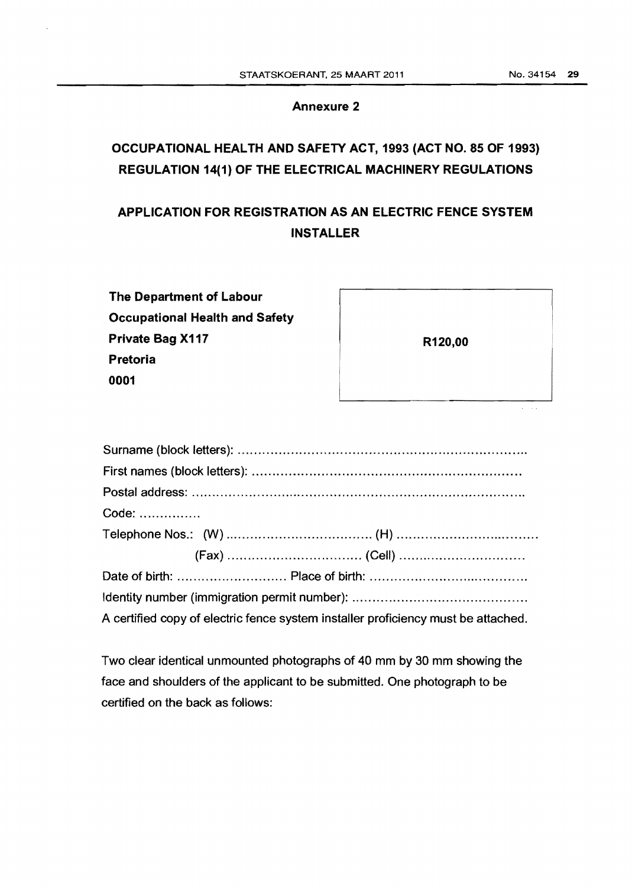# **Annexure 2**

# **OCCUPATIONAL HEALTH AND SAFETY ACT, 1993 (ACT NO. 85 OF 1993) REGULATION 14(1) OF THE ELECTRICAL MACHINERY REGULATIONS**

# **APPLICATION FOR REGISTRATION AS AN ELECTRIC FENCE SYSTEM INSTALLER**

| The Department of Labour              |
|---------------------------------------|
| <b>Occupational Health and Safety</b> |
| Private Bag X117                      |
| Pretoria                              |
| 0001                                  |

|  | R120,00 |                     |
|--|---------|---------------------|
|  |         | ×<br>$\epsilon$ and |

| Code:                                                                             |  |  |
|-----------------------------------------------------------------------------------|--|--|
|                                                                                   |  |  |
|                                                                                   |  |  |
|                                                                                   |  |  |
|                                                                                   |  |  |
| A certified copy of electric fence system installer proficiency must be attached. |  |  |

Two clear identical unmounted photographs of 40 mm by 30 mm showing the face and shoulders of the applicant to be submitted. One photograph to be certified on the back as follows: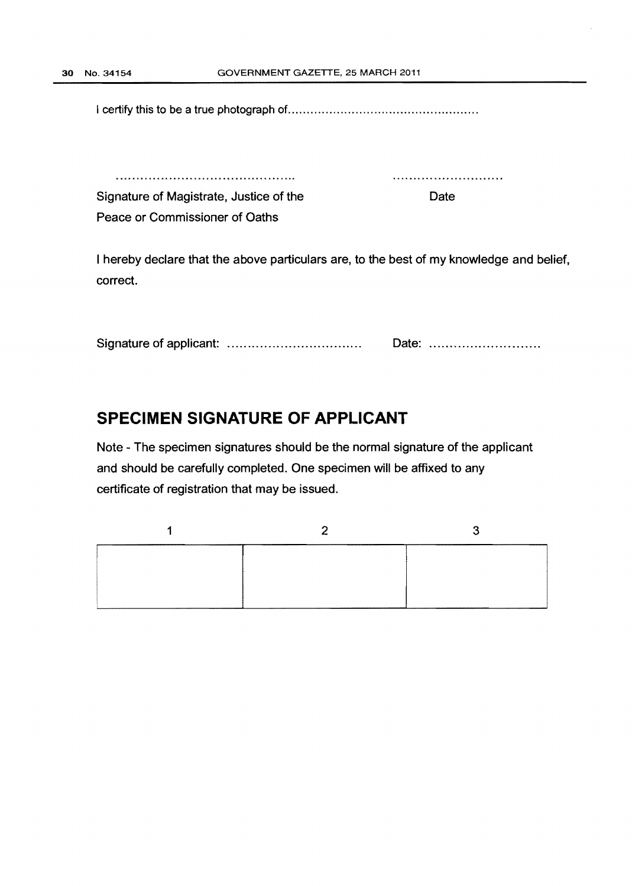I certify this to be a true photograph of.. ................................................ .

Date

Signature of Magistrate, Justice of the Peace or Commissioner of Oaths

I hereby declare that the above particulars are, to the best of my knowledge and belief, correct.

Signature of applicant: ............................... .. Date: .......................... .

# **SPECIMEN SIGNATURE OF APPLICANT**

Note - The specimen signatures should be the normal signature of the applicant and should be carefully completed. One specimen will be affixed to any certificate of registration that may be issued.

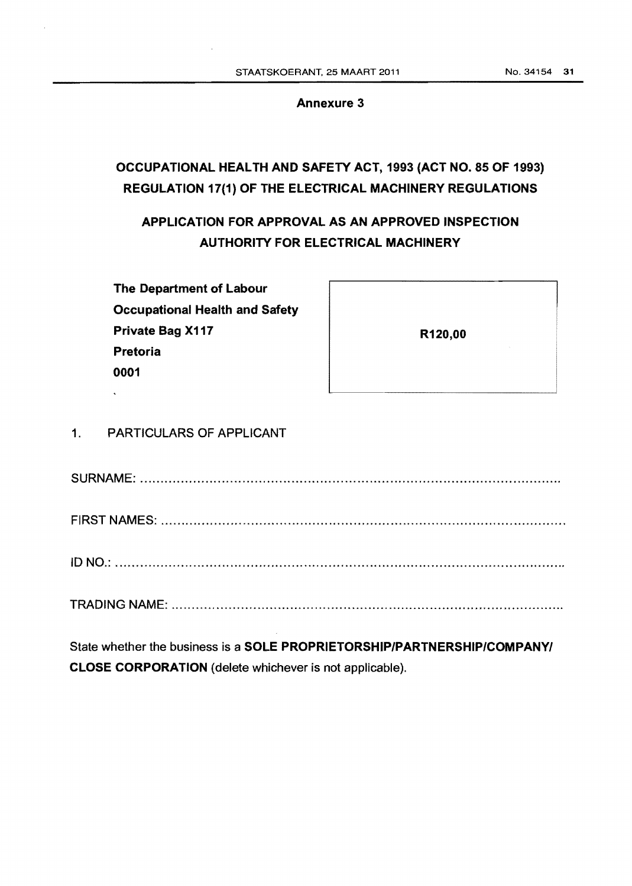#### Annexure 3

# OCCUPATIONAL HEALTH AND SAFETY ACT, 1993 (ACT NO. 85 OF 1993) REGULATION 17(1) OF THE ELECTRICAL MACHINERY REGULATIONS

APPLICATION FOR APPROVAL AS AN APPROVED INSPECTION AUTHORITY FOR ELECTRICAL MACHINERY

The Department of Labour Occupational Health and Safety Private Bag X117 Pretoria 0001

| R120,00 |  |
|---------|--|
|         |  |

# 1. PARTICULARS OF APPLICANT

SURNAME: ..................................................................................................... ..

FIRST NAMES: .................................................................................................. .

ID NO.: ............................................................................................................. .

TRADING NAME: .............................................................................................. ..

State whether the business is a SOLE PROPRIETORSHIP/PARTNERSHIP/COMPANY/ CLOSE CORPORATION (delete whichever is not applicable).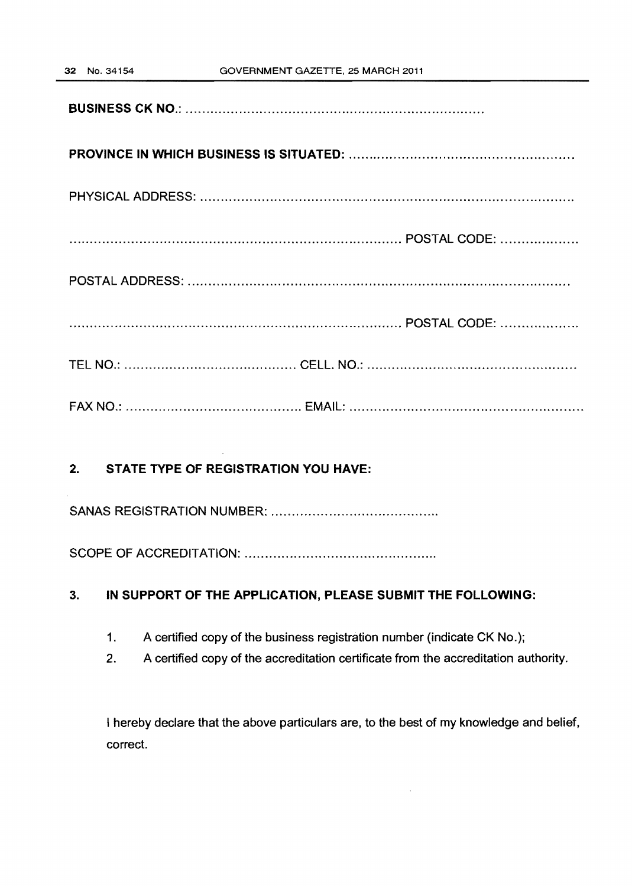**BUSINESS CK NO.:** ........................................................................ .

# **PROVINCE IN WHICH BUSINESS IS SITUATED: ...................................................... .**

PHYSICAL ADDRESS: .......................................................................................... .

...................... ... . ..................... ............... ...... ............. POSTAL CODE: .................. .

POSTAL ADDRESS: ............................................................................................ .

................................................................................. POSTAL CODE: .................. .

TEL NO.: .......................................... CELL. NO.: .................................................. .

FAX NO.: ........................................... EMAIL: ....................................................... ..

# **2. STATE TYPE OF REGISTRATION YOU HAVE:**

SANAS REGISTRATION NUMBER: ........................................ .

SCOPE OF ACCREDITATION: .............................................. .

# 3. **IN SUPPORT OF THE APPLICATION, PLEASE SUBMIT THE FOLLOWING:**

- 1. A certified copy of the business registration number (indicate CK No.);
- 2. A certified copy of the accreditation certificate from the accreditation authority.

I hereby declare that the above particulars are, to the best of my knowledge and belief, correct.